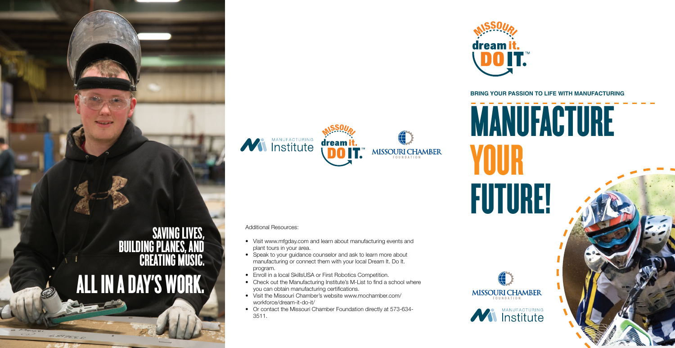# MANUFACTURE



YOUR FUTURE!

**MISSOURI CHAMBER** 





## **BRING YOUR PASSION TO LIFE WITH MANUFACTURING**



- Additional Resources:
- Visit www.mfgday.com and learn about manufacturing events and plant tours in your area.
- Speak to your guidance counselor and ask to learn more about manufacturing or connect them with your local Dream It. Do It. program.
- Enroll in a local SkillsUSA or First Robotics Competition.
- Check out the Manufacturing Institute's M-List to find a school where you can obtain manufacturing certifications.
- Visit the Missouri Chamber's website www.mochamber.com/ workforce/dream-it-do-it/
- Or contact the Missouri Chamber Foundation directly at 573-634- 3511.